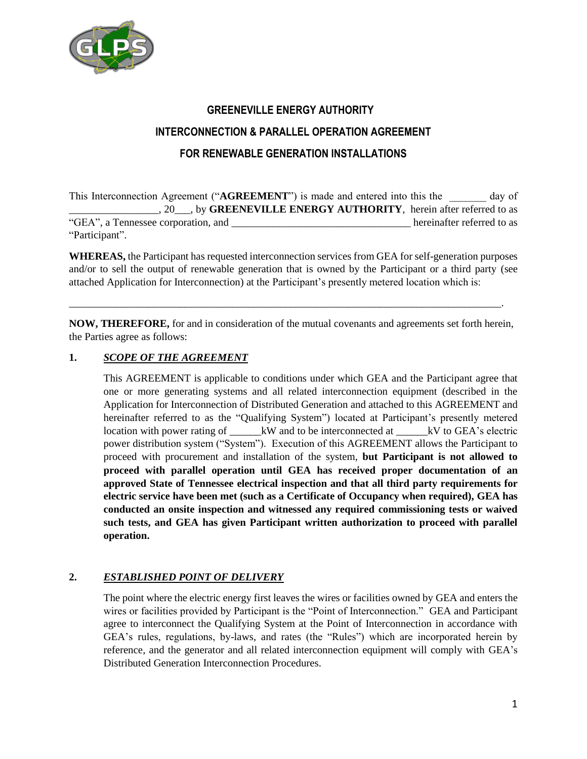

# **GREENEVILLE ENERGY AUTHORITY INTERCONNECTION & PARALLEL OPERATION AGREEMENT FOR RENEWABLE GENERATION INSTALLATIONS**

This Interconnection Agreement ("AGREEMENT") is made and entered into this the day of \_\_\_\_\_\_\_\_\_\_\_\_\_\_\_\_\_, 20\_\_\_, by **GREENEVILLE ENERGY AUTHORITY**, herein after referred to as "GEA", a Tennessee corporation, and \_\_\_\_\_\_\_\_\_\_\_\_\_\_\_\_\_\_\_\_\_\_\_\_\_\_\_\_\_\_\_\_\_\_ hereinafter referred to as "Participant".

**WHEREAS,** the Participant has requested interconnection services from GEA for self-generation purposes and/or to sell the output of renewable generation that is owned by the Participant or a third party (see attached Application for Interconnection) at the Participant's presently metered location which is:

**NOW, THEREFORE,** for and in consideration of the mutual covenants and agreements set forth herein, the Parties agree as follows:

\_\_\_\_\_\_\_\_\_\_\_\_\_\_\_\_\_\_\_\_\_\_\_\_\_\_\_\_\_\_\_\_\_\_\_\_\_\_\_\_\_\_\_\_\_\_\_\_\_\_\_\_\_\_\_\_\_\_\_\_\_\_\_\_\_\_\_\_\_\_\_\_\_\_\_\_\_\_\_\_\_\_.

## **1.** *SCOPE OF THE AGREEMENT*

This AGREEMENT is applicable to conditions under which GEA and the Participant agree that one or more generating systems and all related interconnection equipment (described in the Application for Interconnection of Distributed Generation and attached to this AGREEMENT and hereinafter referred to as the "Qualifying System") located at Participant's presently metered location with power rating of \_\_\_\_\_\_kW and to be interconnected at \_\_\_\_\_kV to GEA's electric power distribution system ("System"). Execution of this AGREEMENT allows the Participant to proceed with procurement and installation of the system, **but Participant is not allowed to proceed with parallel operation until GEA has received proper documentation of an approved State of Tennessee electrical inspection and that all third party requirements for electric service have been met (such as a Certificate of Occupancy when required), GEA has conducted an onsite inspection and witnessed any required commissioning tests or waived such tests, and GEA has given Participant written authorization to proceed with parallel operation.**

# **2.** *ESTABLISHED POINT OF DELIVERY*

The point where the electric energy first leaves the wires or facilities owned by GEA and enters the wires or facilities provided by Participant is the "Point of Interconnection." GEA and Participant agree to interconnect the Qualifying System at the Point of Interconnection in accordance with GEA's rules, regulations, by-laws, and rates (the "Rules") which are incorporated herein by reference, and the generator and all related interconnection equipment will comply with GEA's Distributed Generation Interconnection Procedures.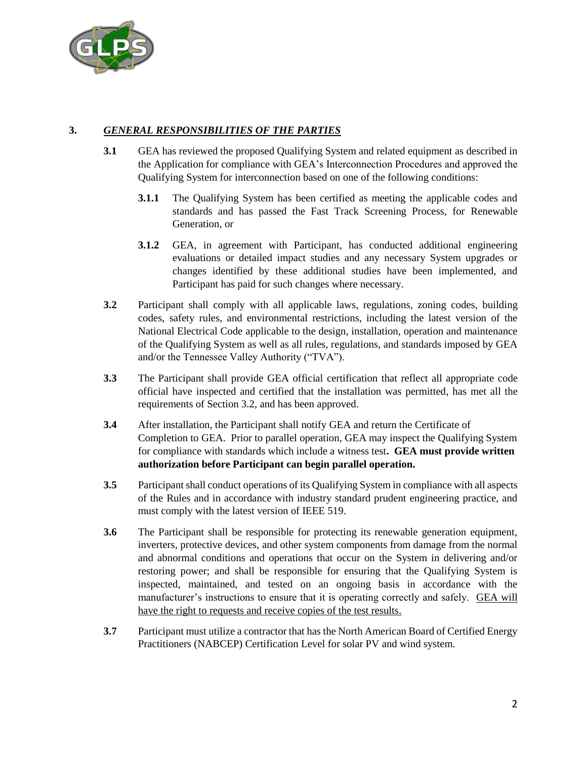

# **3.** *GENERAL RESPONSIBILITIES OF THE PARTIES*

- **3.1** GEA has reviewed the proposed Qualifying System and related equipment as described in the Application for compliance with GEA's Interconnection Procedures and approved the Qualifying System for interconnection based on one of the following conditions:
	- **3.1.1** The Qualifying System has been certified as meeting the applicable codes and standards and has passed the Fast Track Screening Process, for Renewable Generation, or
	- **3.1.2** GEA, in agreement with Participant, has conducted additional engineering evaluations or detailed impact studies and any necessary System upgrades or changes identified by these additional studies have been implemented, and Participant has paid for such changes where necessary.
- **3.2** Participant shall comply with all applicable laws, regulations, zoning codes, building codes, safety rules, and environmental restrictions, including the latest version of the National Electrical Code applicable to the design, installation, operation and maintenance of the Qualifying System as well as all rules, regulations, and standards imposed by GEA and/or the Tennessee Valley Authority ("TVA").
- **3.3** The Participant shall provide GEA official certification that reflect all appropriate code official have inspected and certified that the installation was permitted, has met all the requirements of Section 3.2, and has been approved.
- **3.4** After installation, the Participant shall notify GEA and return the Certificate of Completion to GEA. Prior to parallel operation, GEA may inspect the Qualifying System for compliance with standards which include a witness test**. GEA must provide written authorization before Participant can begin parallel operation.**
- **3.5** Participant shall conduct operations of its Qualifying System in compliance with all aspects of the Rules and in accordance with industry standard prudent engineering practice, and must comply with the latest version of IEEE 519.
- **3.6** The Participant shall be responsible for protecting its renewable generation equipment, inverters, protective devices, and other system components from damage from the normal and abnormal conditions and operations that occur on the System in delivering and/or restoring power; and shall be responsible for ensuring that the Qualifying System is inspected, maintained, and tested on an ongoing basis in accordance with the manufacturer's instructions to ensure that it is operating correctly and safely. GEA will have the right to requests and receive copies of the test results.
- **3.7** Participant must utilize a contractor that has the North American Board of Certified Energy Practitioners (NABCEP) Certification Level for solar PV and wind system.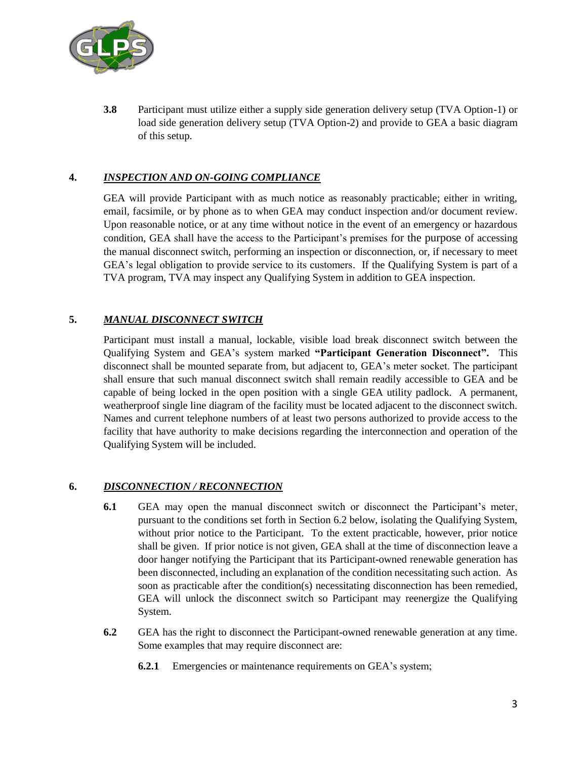

**3.8** Participant must utilize either a supply side generation delivery setup (TVA Option-1) or load side generation delivery setup (TVA Option-2) and provide to GEA a basic diagram of this setup.

## **4.** *INSPECTION AND ON-GOING COMPLIANCE*

GEA will provide Participant with as much notice as reasonably practicable; either in writing, email, facsimile, or by phone as to when GEA may conduct inspection and/or document review. Upon reasonable notice, or at any time without notice in the event of an emergency or hazardous condition, GEA shall have the access to the Participant's premises for the purpose of accessing the manual disconnect switch, performing an inspection or disconnection, or, if necessary to meet GEA's legal obligation to provide service to its customers. If the Qualifying System is part of a TVA program, TVA may inspect any Qualifying System in addition to GEA inspection.

## **5.** *MANUAL DISCONNECT SWITCH*

Participant must install a manual, lockable, visible load break disconnect switch between the Qualifying System and GEA's system marked **"Participant Generation Disconnect".** This disconnect shall be mounted separate from, but adjacent to, GEA's meter socket. The participant shall ensure that such manual disconnect switch shall remain readily accessible to GEA and be capable of being locked in the open position with a single GEA utility padlock. A permanent, weatherproof single line diagram of the facility must be located adjacent to the disconnect switch. Names and current telephone numbers of at least two persons authorized to provide access to the facility that have authority to make decisions regarding the interconnection and operation of the Qualifying System will be included.

## **6.** *DISCONNECTION / RECONNECTION*

- **6.1** GEA may open the manual disconnect switch or disconnect the Participant's meter, pursuant to the conditions set forth in Section 6.2 below, isolating the Qualifying System, without prior notice to the Participant. To the extent practicable, however, prior notice shall be given. If prior notice is not given, GEA shall at the time of disconnection leave a door hanger notifying the Participant that its Participant-owned renewable generation has been disconnected, including an explanation of the condition necessitating such action. As soon as practicable after the condition(s) necessitating disconnection has been remedied, GEA will unlock the disconnect switch so Participant may reenergize the Qualifying System.
- **6.2** GEA has the right to disconnect the Participant-owned renewable generation at any time. Some examples that may require disconnect are:
	- **6.2.1** Emergencies or maintenance requirements on GEA's system;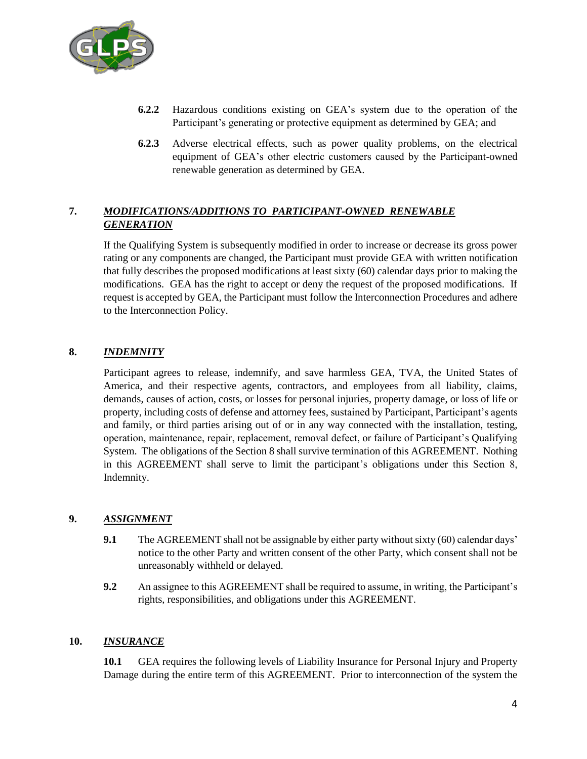

- **6.2.2** Hazardous conditions existing on GEA's system due to the operation of the Participant's generating or protective equipment as determined by GEA; and
- **6.2.3** Adverse electrical effects, such as power quality problems, on the electrical equipment of GEA's other electric customers caused by the Participant-owned renewable generation as determined by GEA.

# **7.** *MODIFICATIONS/ADDITIONS TO PARTICIPANT-OWNED RENEWABLE GENERATION*

If the Qualifying System is subsequently modified in order to increase or decrease its gross power rating or any components are changed, the Participant must provide GEA with written notification that fully describes the proposed modifications at least sixty (60) calendar days prior to making the modifications. GEA has the right to accept or deny the request of the proposed modifications. If request is accepted by GEA, the Participant must follow the Interconnection Procedures and adhere to the Interconnection Policy.

## **8.** *INDEMNITY*

Participant agrees to release, indemnify, and save harmless GEA, TVA, the United States of America, and their respective agents, contractors, and employees from all liability, claims, demands, causes of action, costs, or losses for personal injuries, property damage, or loss of life or property, including costs of defense and attorney fees, sustained by Participant, Participant's agents and family, or third parties arising out of or in any way connected with the installation, testing, operation, maintenance, repair, replacement, removal defect, or failure of Participant's Qualifying System. The obligations of the Section 8 shall survive termination of this AGREEMENT. Nothing in this AGREEMENT shall serve to limit the participant's obligations under this Section 8, Indemnity.

## **9.** *ASSIGNMENT*

- **9.1** The AGREEMENT shall not be assignable by either party without sixty (60) calendar days' notice to the other Party and written consent of the other Party, which consent shall not be unreasonably withheld or delayed.
- **9.2** An assignee to this AGREEMENT shall be required to assume, in writing, the Participant's rights, responsibilities, and obligations under this AGREEMENT.

#### **10.** *INSURANCE*

**10.1** GEA requires the following levels of Liability Insurance for Personal Injury and Property Damage during the entire term of this AGREEMENT. Prior to interconnection of the system the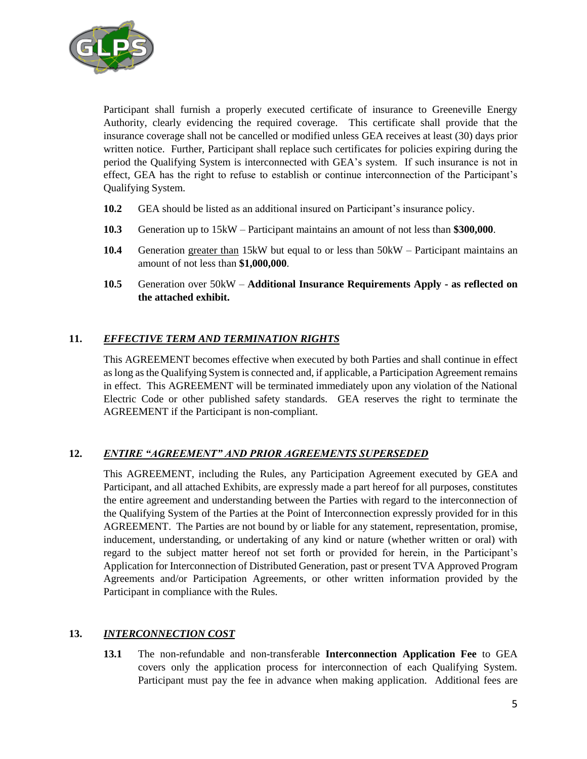

Participant shall furnish a properly executed certificate of insurance to Greeneville Energy Authority, clearly evidencing the required coverage. This certificate shall provide that the insurance coverage shall not be cancelled or modified unless GEA receives at least (30) days prior written notice. Further, Participant shall replace such certificates for policies expiring during the period the Qualifying System is interconnected with GEA's system. If such insurance is not in effect, GEA has the right to refuse to establish or continue interconnection of the Participant's Qualifying System.

- **10.2** GEA should be listed as an additional insured on Participant's insurance policy.
- **10.3** Generation up to 15kW Participant maintains an amount of not less than **\$300,000**.
- **10.4** Generation greater than 15kW but equal to or less than 50kW Participant maintains an amount of not less than **\$1,000,000**.
- **10.5** Generation over 50kW **Additional Insurance Requirements Apply - as reflected on the attached exhibit.**

## **11.** *EFFECTIVE TERM AND TERMINATION RIGHTS*

This AGREEMENT becomes effective when executed by both Parties and shall continue in effect as long as the Qualifying System is connected and, if applicable, a Participation Agreement remains in effect. This AGREEMENT will be terminated immediately upon any violation of the National Electric Code or other published safety standards. GEA reserves the right to terminate the AGREEMENT if the Participant is non-compliant.

# **12.** *ENTIRE "AGREEMENT" AND PRIOR AGREEMENTS SUPERSEDED*

This AGREEMENT, including the Rules, any Participation Agreement executed by GEA and Participant, and all attached Exhibits, are expressly made a part hereof for all purposes, constitutes the entire agreement and understanding between the Parties with regard to the interconnection of the Qualifying System of the Parties at the Point of Interconnection expressly provided for in this AGREEMENT. The Parties are not bound by or liable for any statement, representation, promise, inducement, understanding, or undertaking of any kind or nature (whether written or oral) with regard to the subject matter hereof not set forth or provided for herein, in the Participant's Application for Interconnection of Distributed Generation, past or present TVA Approved Program Agreements and/or Participation Agreements, or other written information provided by the Participant in compliance with the Rules.

#### **13.** *INTERCONNECTION COST*

**13.1** The non-refundable and non-transferable **Interconnection Application Fee** to GEA covers only the application process for interconnection of each Qualifying System. Participant must pay the fee in advance when making application. Additional fees are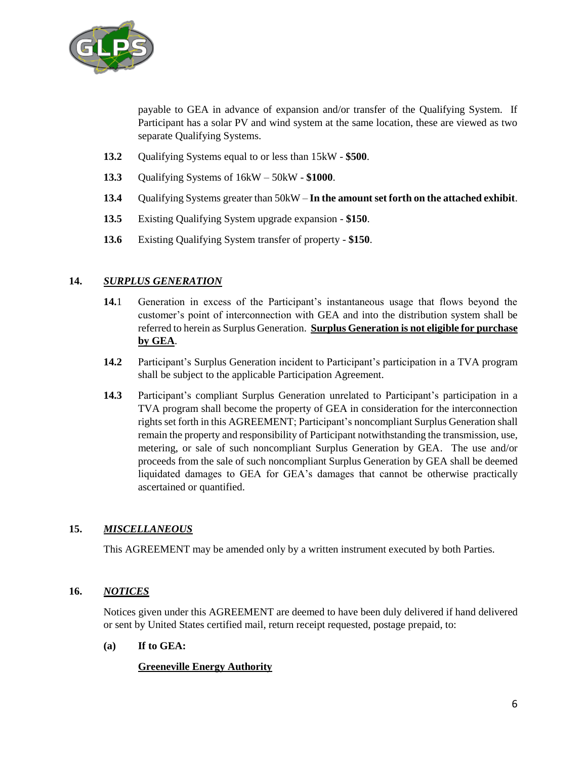

payable to GEA in advance of expansion and/or transfer of the Qualifying System. If Participant has a solar PV and wind system at the same location, these are viewed as two separate Qualifying Systems.

- **13.2** Qualifying Systems equal to or less than 15kW **\$500**.
- **13.3** Qualifying Systems of 16kW 50kW **\$1000**.
- **13.4** Qualifying Systems greater than 50kW **In the amount set forth on the attached exhibit**.
- **13.5** Existing Qualifying System upgrade expansion **\$150**.
- **13.6** Existing Qualifying System transfer of property **\$150**.

#### **14.** *SURPLUS GENERATION*

- **14.**1 Generation in excess of the Participant's instantaneous usage that flows beyond the customer's point of interconnection with GEA and into the distribution system shall be referred to herein as Surplus Generation. **Surplus Generation is not eligible for purchase by GEA**.
- **14.2** Participant's Surplus Generation incident to Participant's participation in a TVA program shall be subject to the applicable Participation Agreement.
- **14.3** Participant's compliant Surplus Generation unrelated to Participant's participation in a TVA program shall become the property of GEA in consideration for the interconnection rights set forth in this AGREEMENT; Participant's noncompliant Surplus Generation shall remain the property and responsibility of Participant notwithstanding the transmission, use, metering, or sale of such noncompliant Surplus Generation by GEA. The use and/or proceeds from the sale of such noncompliant Surplus Generation by GEA shall be deemed liquidated damages to GEA for GEA's damages that cannot be otherwise practically ascertained or quantified.

## **15.** *MISCELLANEOUS*

This AGREEMENT may be amended only by a written instrument executed by both Parties.

## **16.** *NOTICES*

Notices given under this AGREEMENT are deemed to have been duly delivered if hand delivered or sent by United States certified mail, return receipt requested, postage prepaid, to:

#### **(a) If to GEA:**

#### **Greeneville Energy Authority**